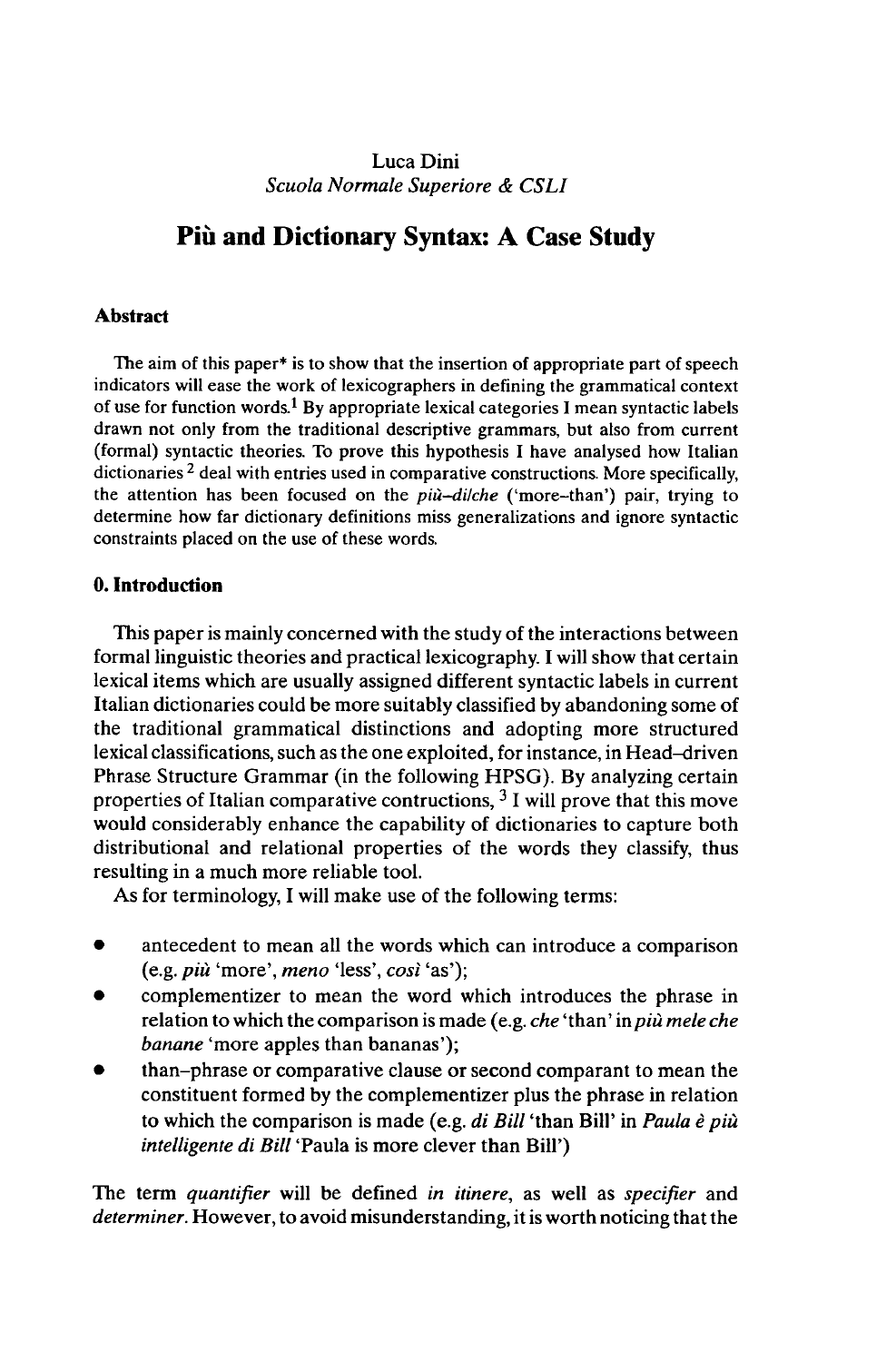## Luca Dini *Scuola Normale Superiore & CSLI*

# **Più and Dictionary Syntax: A Case Study**

### **Abstract**

The aim of this paper\* is to show that the insertion of appropriate part of speech indicators will ease the work of lexicographers in defining the grammatical context of use for function words.<sup>1</sup> By appropriate lexical categories I mean syntactic labels drawn not only from the traditional descriptive grammars, but also from current (formal) syntactic theories. To prove this hypothesis I have analysed how Italian dictionaries<sup>2</sup> deal with entries used in comparative constructions. More specifically, the attention has been focused on the *più-dilche* ('more-than') pair, trying to determine how far dictionary definitions miss generalizations and ignore syntactic constraints placed on the use of these words.

### **0. Introduction**

This paper is mainly concerned with the study of the interactions between formal linguistic theories and practical lexicography. I will show that certain lexical items which are usually assigned different syntactic labels in current Italian dictionaries could be more suitably classified by abandoning some of the traditional grammatical distinctions and adopting more structured lexical classifications, such as the one exploited, for instance, in Head-driven Phrase Structure Grammar (in the following HPSG). By analyzing certain properties of Italian comparative contructions, <sup>3</sup> I will prove that this move would considerably enhance the capability of dictionaries to capture both distributional and relational properties of the words they classify, thus resulting in a much more reliable tool.

As for terminology, I will make use of the following terms:

- antecedent to mean all the words which can introduce a comparison (e.g. *più* 'more', *meno* 'less', *cost* 'as');
- complementizer to mean the word which introduces the phrase in relation to which the comparison is made (e.g. *che* 'than' in *più mêle che banane* 'more apples than bananas');
- than-phrase or comparative clause or second comparant to mean the constituent formed by the complementizer plus the phrase in relation to which the comparison is made (e.g. *di Bill* 'than Bill' in *Paula è più intelligente di Bill* 'Paula is more clever than Bill')

The term *quantifier* will be defined *in itinere,* as well as *specifier* and *determiner.* However, to avoid misunderstanding, it is worth noticing that the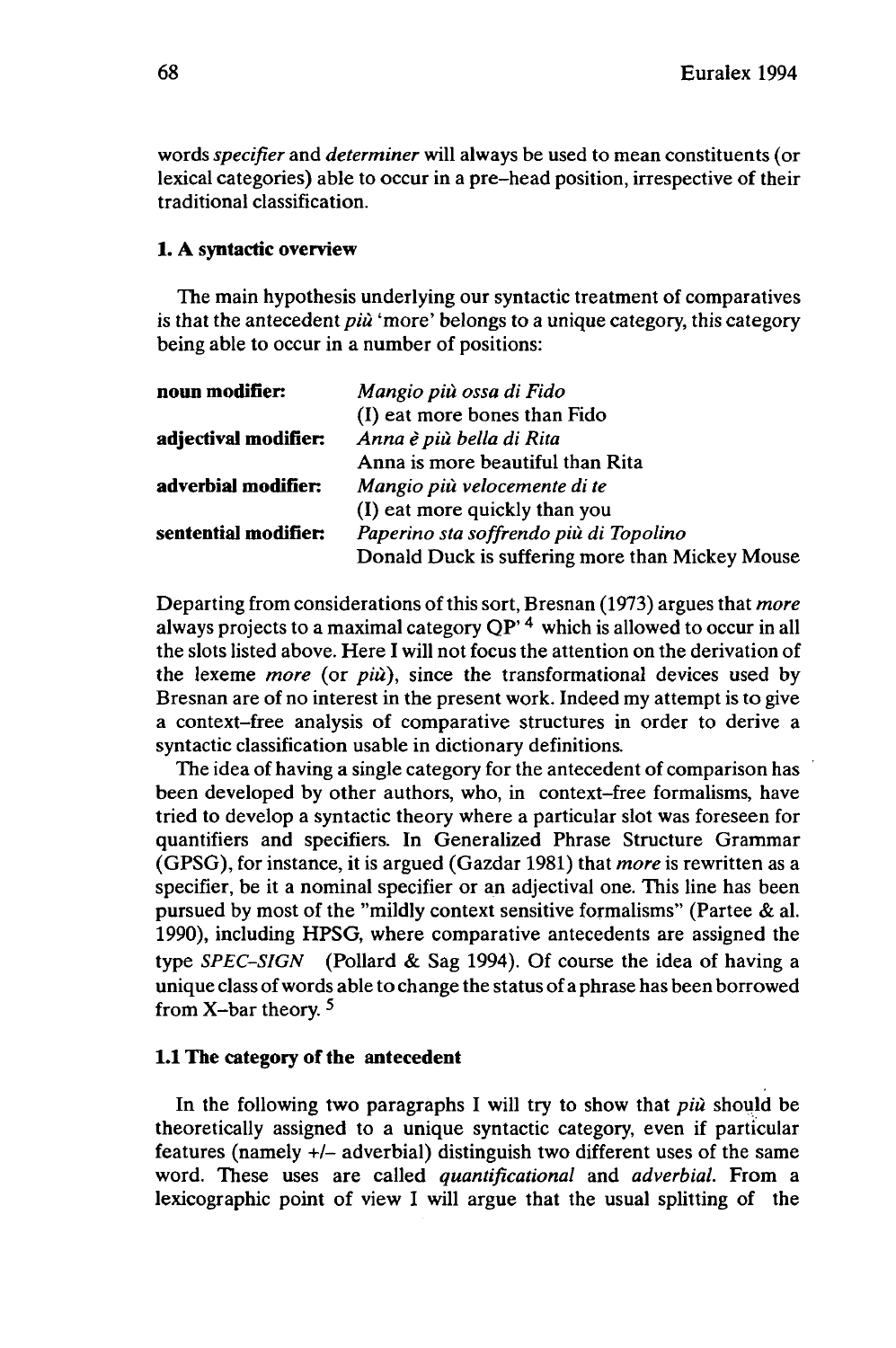words *specifier* and *determiner* will always be used to mean constituents (or lexical categories) able to occur in a pre-head position, irrespective of their traditional classification.

### **1. A syntactic overview**

The main hypothesis underlying our syntactic treatment of comparatives is that the antecedent *più* 'more' belongs to a unique category, this category being able to occur in a number of positions:

| Mangio più ossa di Fido                         |
|-------------------------------------------------|
| (I) eat more bones than Fido                    |
| Anna è più bella di Rita                        |
| Anna is more beautiful than Rita                |
| Mangio più velocemente di te                    |
| (I) eat more quickly than you                   |
| Paperino sta soffrendo più di Topolino          |
| Donald Duck is suffering more than Mickey Mouse |
|                                                 |

Departing from considerations ofthis sort, Bresnan (1973) argues that *more* always projects to <sup>a</sup> maximal category QP'4 which is allowed to occur in all the slots listed above. Here I will not focus the attention on the derivation of the lexeme *more* (or *più),* since the transformational devices used by Bresnan are of no interest in the present work. Indeed my attempt is to give a context-free analysis of comparative structures in order to derive a syntactic classification usable in dictionary definitions.

The idea of having a single category for the antecedent of comparison has been developed by other authors, who, in context-free formalisms, have tried to develop a syntactic theory where a particular slot was foreseen for quantifiers and specifiers. In Generalized Phrase Structure Grammar (GPSG), for instance, it is argued (Gazdar 1981) that *more* is rewritten as a specifier, be it a nominal specifier or an adjectival one. This line has been pursued by most of the "mildly context sensitive formalisms" (Partee & al. 1990), including HPSG, where comparative antecedents are assigned the type *SPEC-SIGN* (Pollard & Sag 1994). Of course the idea of having a unique class ofwords able to change the status of a phrase has been borrowed from X-bar theory. <sup>5</sup>

### **1.1 The category of the antecedent**

In the following two paragraphs I will try to show that *più* should be theoretically assigned to a unique syntactic category, even if particular features (namely +/- adverbial) distinguish two different uses of the same word. These uses are called *quantificational* and *adverbial.* From a lexicographic point of view I will argue that the usual splitting of the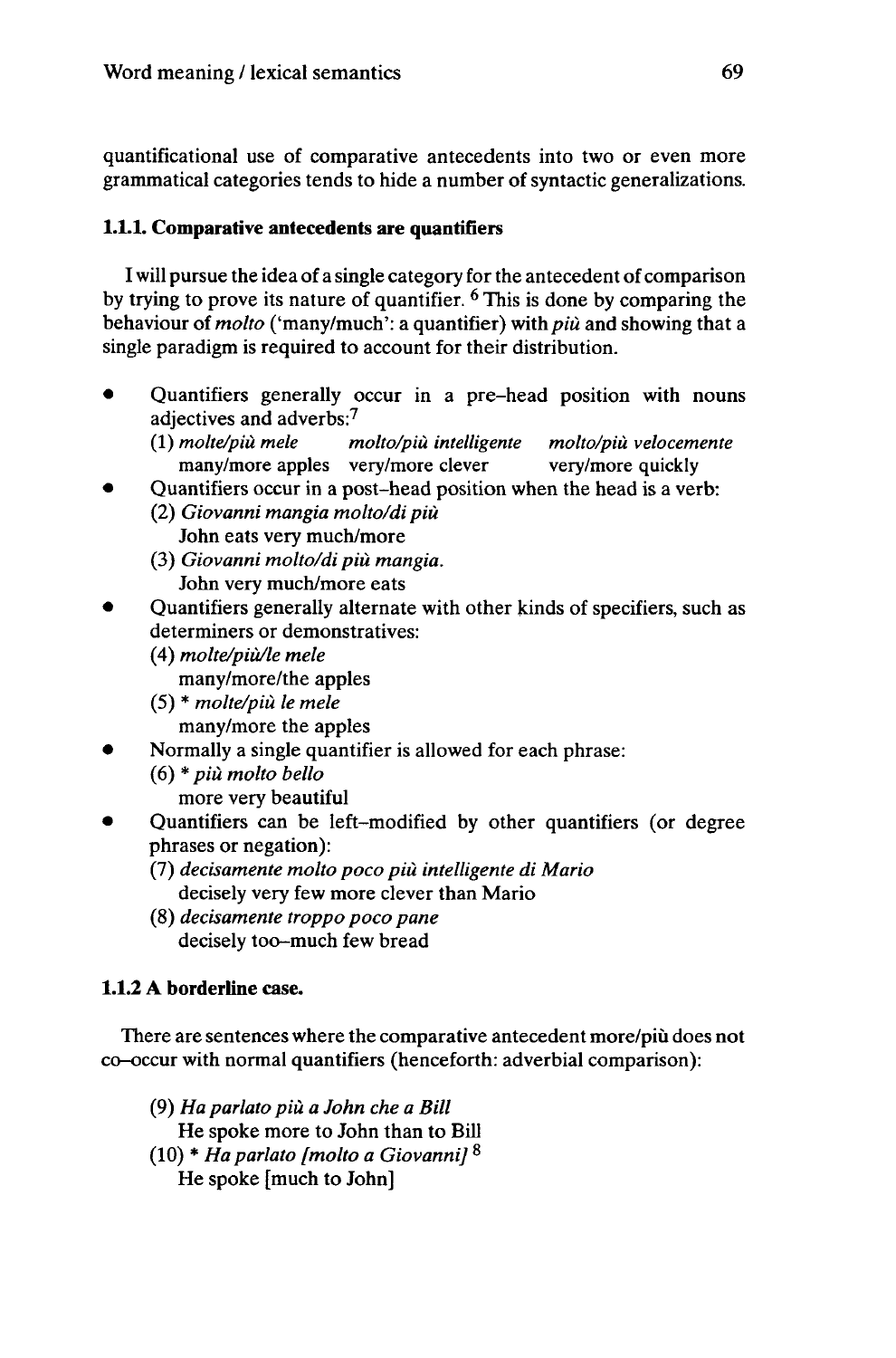quantificational use of comparative antecedents into two or even more grammatical categories tends to hide a number of syntactic generalizations.

# 1.1.1. Comparative antecedents **are** quantifiers

I will pursue the idea of a single category for the antecedent of comparison by trying to prove its nature of quantifier. <sup>6</sup> This is done by comparing the behaviour of *molto* ('many/much': a quantifier) with *più* and showing that a single paradigm is required to account for their distribution.

- Quantifiers generally occur in a pre-head position with nouns adjectives and adverbs:<sup>7</sup>
	- (1) *molte/più mêle molto/più intelligente molto/più velocemente* many/more apples very/more clever very/more quickly
- Quantifiers occur in a post-head position when the head is a verb:
	- (2) *Giovanni mangia molto/di più* John eats very much/more
	- (3) *Giovanni molto/di più mangia.* John very much/more eats
- Quantifiers generally alternate with other kinds of specifiers, such as determiners or demonstratives:
	- (4) *molte/più/le mêle*
		- many/more/the apples
	- (5) \* *molte/più le mêle*
		- many/more the apples
- Normally <sup>a</sup> single quantifier is allowed for each phrase:
	- (6) \* *più molto bello* more very beautiful
- Quantifiers can be left-modified by other quantifiers (or degree phrases or negation):
	- (7) *decisamente molto poco più intelligente di Mario* decisely very few more clever than Mario
	- (8) *decisamente troppo poco pane* decisely too-much few bread

# **1.1.2 A borderline** case.

There are sentences where the comparative antecedent more/piu does not co-occur with normal quantifiers (henceforth: adverbial comparison):

(9) *Ha parlato più a John che a Bill* He spoke more to John than to Bill (10) \* *Ha parlato [molto a Giovanni]* <sup>8</sup> He spoke [much to John]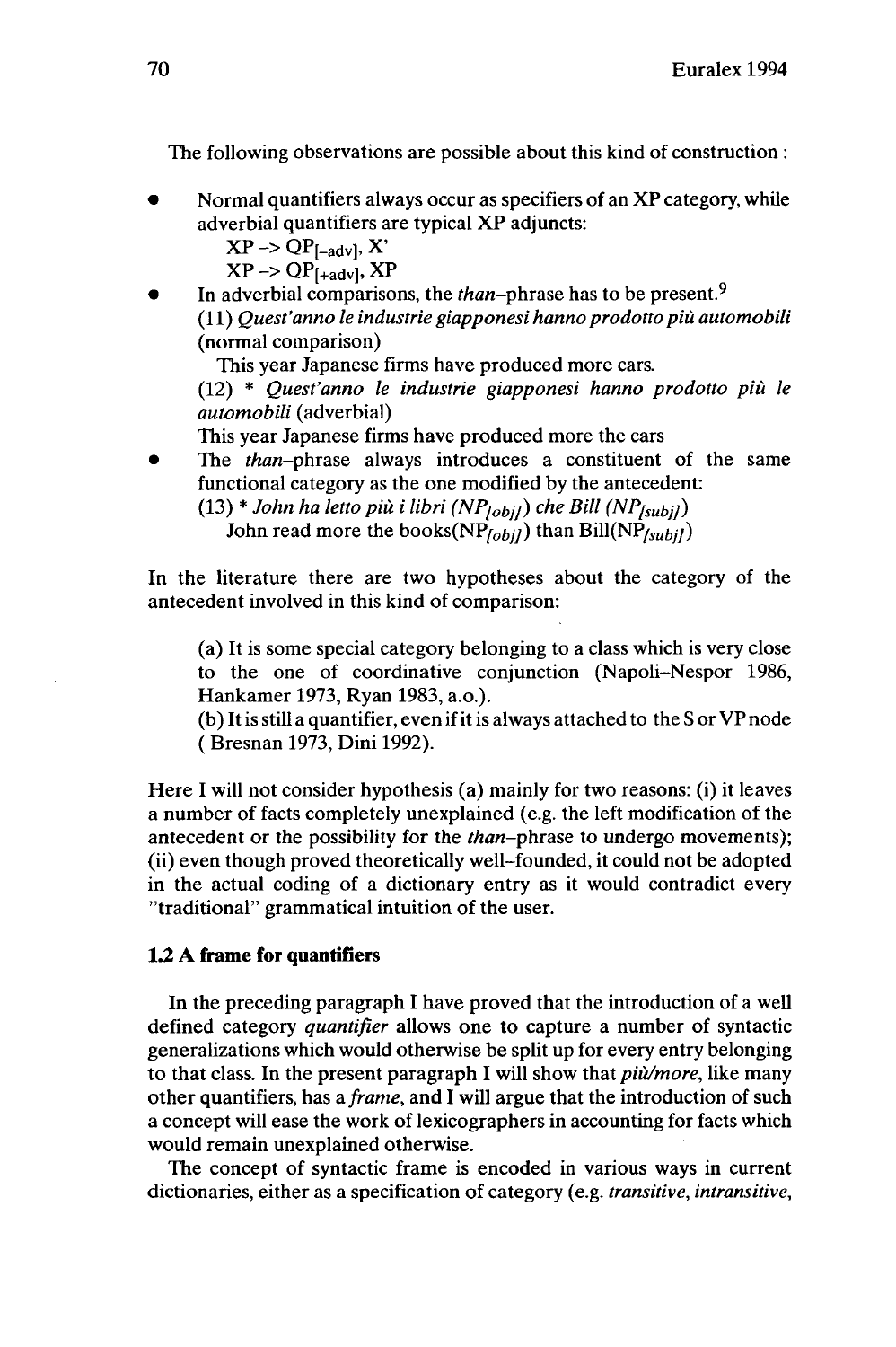The following observations are possible about this kind of construction :

- Normal quantifiers always occur as specifiers of an XP category, while adverbial quantifiers are typical XP adjuncts:
	- $XP \rightarrow QP_{[-adv]}$ , X'
	- $XP \rightarrow QP_{[+adv]}$ , XP
- In adverbial comparisons, the *than-phrase* has to be present.<sup>9</sup> (11) *Quest'anno le industrie giapponesi hanno prodotto più automobili* (normal comparison)

This year Japanese firms have produced more cars.

(12) \* *Quest'anno le industrie giapponesi hanno prodotto più le automobili* (adverbial)

This year Japanese firms have produced more the cars

The *than*-phrase always introduces a constituent of the same functional category as the one modified by the antecedent:

 $(13) * John ha letto più i libri (NP<sub>lobil</sub>) che Bill (NP<sub>fsubil</sub>)$ John read more the books( $NP$ <sub>[obi</sub>]) than Bill( $NP$ <sub>[subil</sub>])

In the literature there are two hypotheses about the category of the antecedent involved in this kind of comparison:

(a) It is some special category belonging to a class which is very close to the one of coordinative conjunction (Napoli-Nespor 1986, Hankamer 1973, Ryan 1983, a.o.).

(b) Itis still a quantifier, even ifitis always attached to the S or VPnode ( Bresnan 1973, Dini 1992).

Here I will not consider hypothesis (a) mainly for two reasons: (i) it leaves a number of facts completely unexplained (e.g. the left modification of the antecedent or the possibility for the *than*-phrase to undergo movements); (ii) even though proved theoretically well-founded, it could not be adopted in the actual coding of a dictionary entry as it would contradict every "traditional" grammatical intuition of the user.

## **1.2 A frame for quantifiers**

In the preceding paragraph I have proved that the introduction of a well defined category *quantifier* allows one to capture a number of syntactic generalizations which would otherwise be split up for every entry belonging to that class. In the present paragraph I will show that *piu/more,* like many other quantifiers, has *a frame,* and I will argue that the introduction of such a concept will ease the work of lexicographers in accounting for facts which would remain unexplained otherwise.

The concept of syntactic frame is encoded in various ways in current dictionaries, either as a specification of category (e.g. *transitive, intransitive,*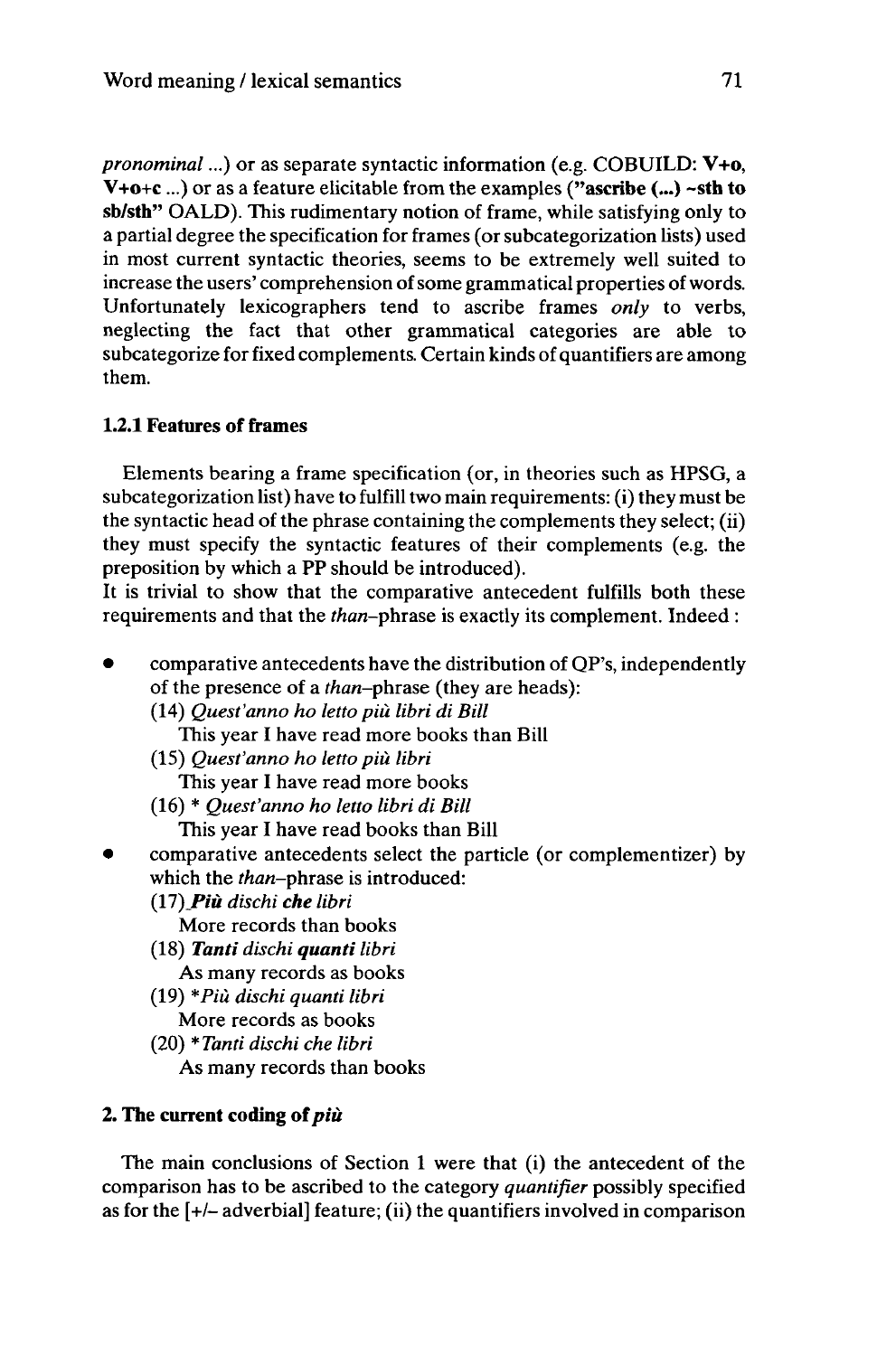*pronominal*...) or as separate syntactic information (e.g. COBUILD: **V+o,** V+o+c...) or as a feature elicitable from the examples **("ascribe (...) ~sth to sb/sth"** OALD). This rudimentary notion of frame, while satisfying only to a partial degree the specification for frames (orsubcategorization lists) used in most current syntactic theories, seems to be extremely well suited to increase the users' comprehension of some grammatical properties of words. Unfortunately lexicographers tend to ascribe frames *only* to verbs, neglecting the fact that other grammatical categories are able to subcategorize for fixed complements. Certain kinds of quantifiers are among them.

### **1.2.1 Features of frames**

Elements bearing a frame specification (or, in theories such as HPSG, a subcategorization list) have to fulfill two main requirements: (i) they must be the syntactic head of the phrase containing the complements they select; (ii) they must specify the syntactic features of their complements (e.g. the preposition by which a PP should be introduced).

It is trivial to show that the comparative antecedent fulfills both these requirements and that the *than*-phrase is exactly its complement. Indeed :

- comparative antecedents have the distribution of QP's, independently of the presence of a than-phrase (they are heads):
	- (14) *Quest'anno ho letto più libri di Bill*
		- This year I have read more books than Bill
	- (15) *Quest'anno ho letto più libri*
		- This year I have read more books
	- (16) \* *Quest'anno ho letto libri di Bill* This year I have read books than Bill
- comparative antecedents select the particle (or complementizer) by which the *than-phrase* is introduced:
	- *(17)\_Più dischi che libri*
		- More records than books
	- (18) *Tanti dischi quanti libri* As many records as books
	- (19) *\*Piu dischi quanti libri* More records as books
	- (20) *\* Tanti dischi che libri* As many records than books

## **2.** The current coding of più

The main conclusions of Section <sup>1</sup> were that (i) the antecedent of the comparison has to be ascribed to the category *quantifier* possibly specified as for the [+/- adverbial] feature; (ii) the quantifiers involved in comparison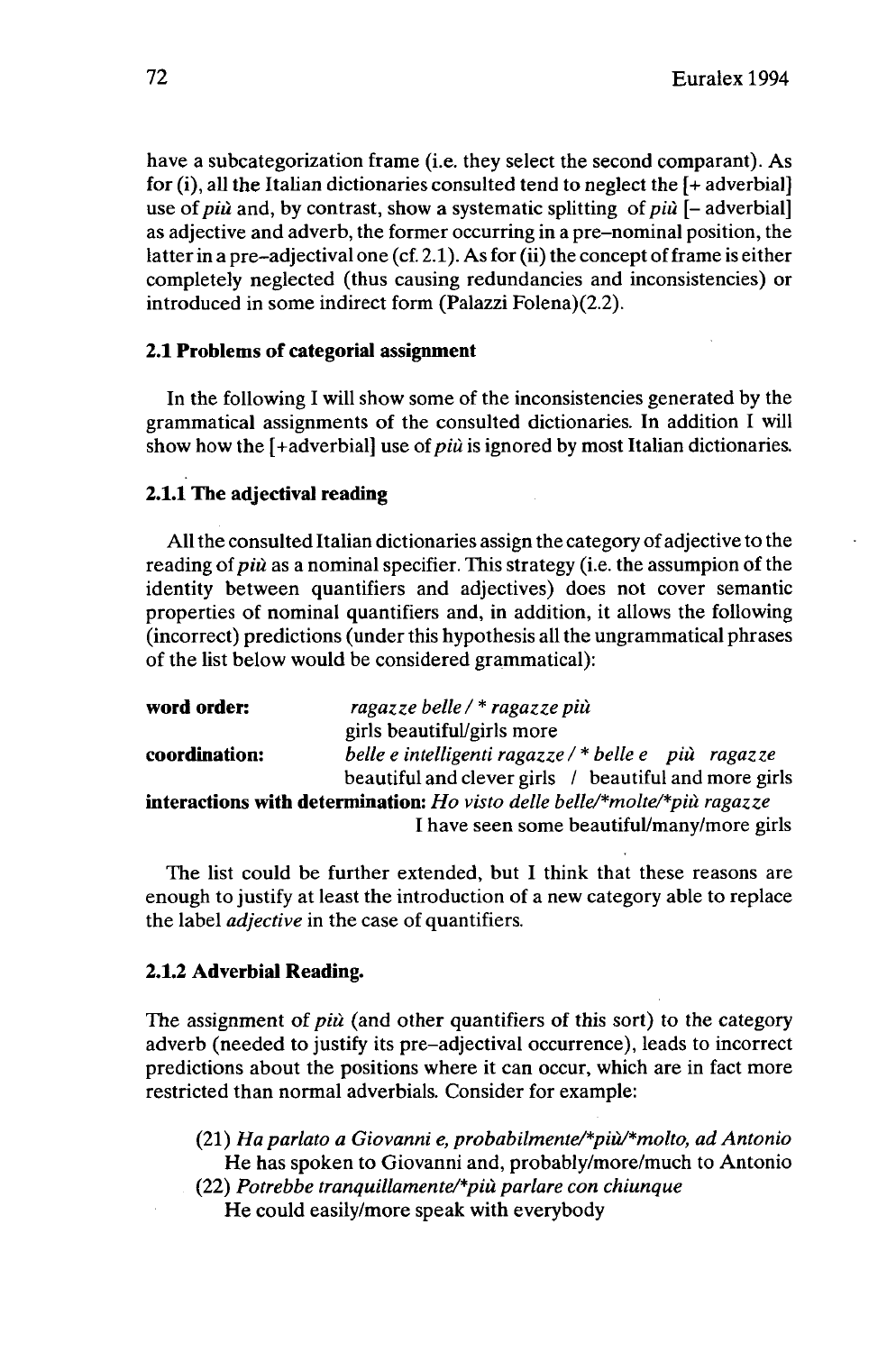have a subcategorization frame (i.e. they select the second comparant). As for  $(i)$ , all the Italian dictionaries consulted tend to neglect the  $[+$  adverbial] use *otpiù* and, by contrast, show a systematic splitting *oîpiù [-* adverbial] as adjective and adverb, the former occurring in a pre-nominal position, the latter in a pre-adjectival one (cf. 2.1). As for (ii) the concept of frame is either completely neglected (thus causing redundancies and inconsistencies) or introduced in some indirect form (Palazzi Folena)(2.2).

### **2.1 Problems of categorial assignment**

In the following I will show some of the inconsistencies generated by the grammatical assignments of the consulted dictionaries. In addition I will show how the [+adverbial] use *oîpiù* is ignored by most Italian dictionaries.

### **2.1.1 The adjectival reading**

All the consulted Italian dictionaries assign the category of adjective to the reading *oîpiù* as a nominal specifier. This strategy (i.e. the assumpion of the identity between quantifiers and adjectives) does not cover semantic properties of nominal quantifiers and, in addition, it allows the following (incorrect) predictions (under this hypothesis all the ungrammatical phrases of the list below would be considered grammatical):

| word order:   | ragazze belle / * ragazze più                                                    |
|---------------|----------------------------------------------------------------------------------|
|               | girls beautiful/girls more                                                       |
| coordination: | belle e intelligenti ragazze / * belle e più ragazze                             |
|               | beautiful and clever girls / beautiful and more girls                            |
|               | <b>interactions with determination:</b> Ho visto delle belle/*molte/*più ragazze |
|               | I have seen some beautiful/many/more girls                                       |

The list could be further extended, but I think that these reasons are enough to justify at least the introduction of a new category able to replace the label *adjective* in the case of quantifiers.

### **2.1.2 Adverbial Reading.**

The assignment of *più* (and other quantifiers of this sort) to the category adverb (needed to justify its pre-adjectival occurrence), leads to incorrect predictions about the positions where it can occur, which are in fact more restricted than normal adverbials. Consider for example:

- (21) *Haparlato a Giovanni e, probabilmente/\*più/\*molto, ad Antonio* He has spoken to Giovanni and, probably/more/much to Antonio
- (22) *Potrebbe tranquillamente/\*più parlare con chiunque* He could easily/more speak with everybody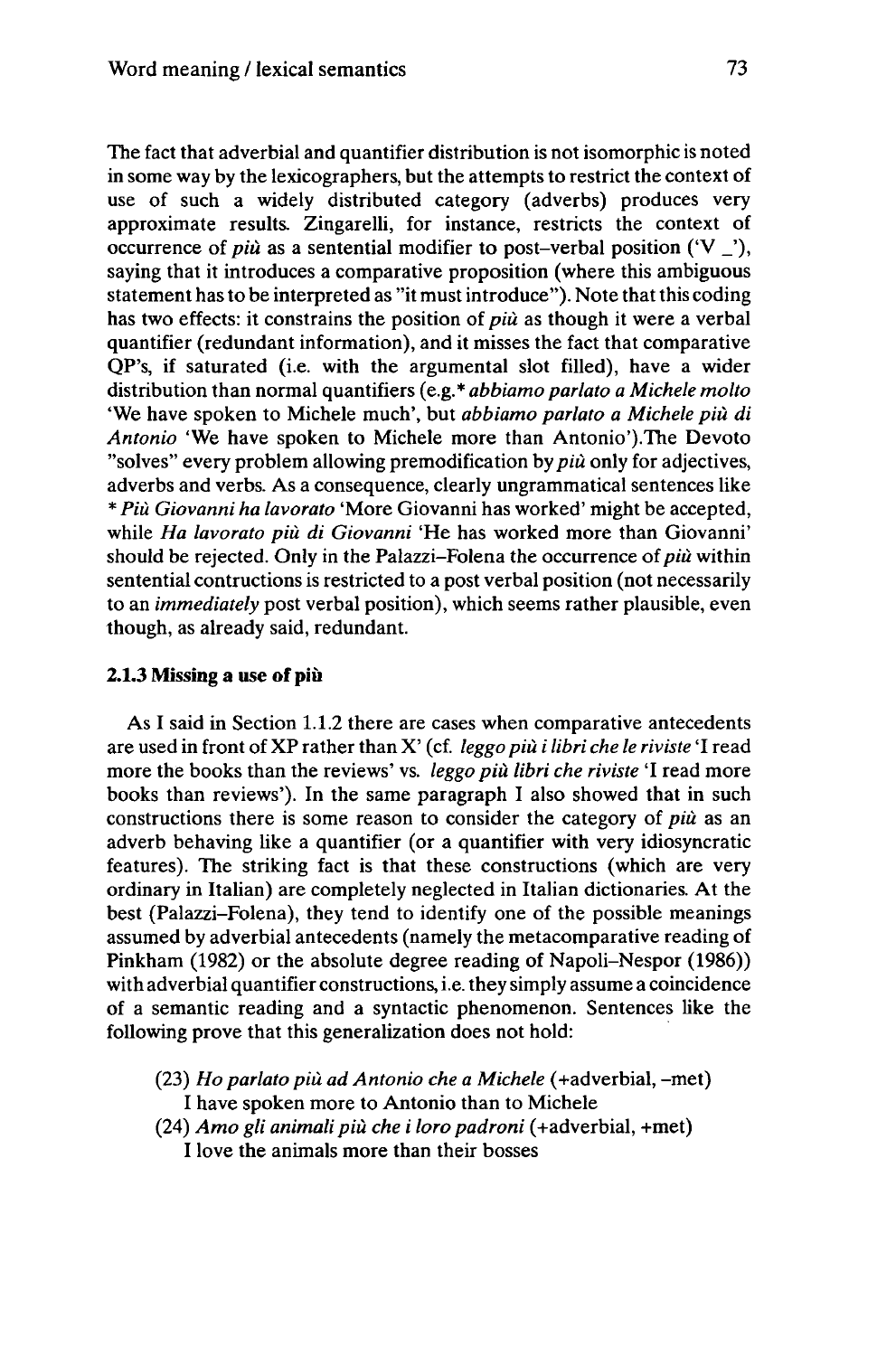The fact that adverbial and quantifier distribution is not isomorphic is noted in some way by the lexicographers, but the attempts to restrict the context of use of such a widely distributed category (adverbs) produces very approximate results. Zingarelli, for instance, restricts the context of occurrence of *più* as a sentential modifier to post-verbal position  $(V'')$ , saying that it introduces a comparative proposition (where this ambiguous statement has to be interpreted as "it must introduce"). Note that this coding has two effects: it constrains the position of *più* as though it were a verbal quantifier (redundant information), and it misses the fact that comparative QP's, if saturated (i.e. with the argumentai slot filled), have a wider distribution than normal quantifiers (e.g.\* *abbiamo parlato a Michèle molto* 'We have spoken to Michèle much', but *abbiamo parlato a Michèle più di Antonio* 'We have spoken to Michèle more than Antonio').The Devoto "solves" every problem allowing premodification by *più* only for adjectives, adverbs and verbs. As a consequence, clearly ungrammatical sentences like \* *Più Giovanni ha lavorato* 'More Giovanni has worked' might be accepted, while *Ha lavorato più di Giovanni* 'He has worked more than Giovanni' should be rejected. Only in the Palazzi-Folena the occurrence *oipiù* within sentential contructions is restricted to a post verbal position (not necessarily to an *immediately* post verbal position), which seems rather plausible, even though, as already said, redundant.

### **2.1.3 Missing a use ofpiù**

As I said in Section 1.1.2 there are cases when comparative antecedents are used in front of XP rather than X' (cf. *leggo più i libri che le riviste* 'I read more the books than the reviews' vs. *leggo più libri che riviste* 'I read more books than reviews'). In the same paragraph I also showed that in such constructions there is some reason to consider the category of *più* as an adverb behaving like a quantifier (or a quantifier with very idiosyncratic features). The striking fact is that these constructions (which are very ordinary in Italian) are completely neglected in Italian dictionaries. At the best (Palazzi-Folena), they tend to identify one of the possible meanings assumed by adverbial antecedents (namely the metacomparative reading of Pinkham (1982) or the absolute degree reading of Napoli-Nespor (1986)) with adverbial quantifier constructions, i.e. they simply assume a coincidence of a semantic reading and a syntactic phenomenon. Sentences like the following prove that this generalization does not hold:

- (23) *Ho parlato più ad Antonio che a Michèle* (+adverbial, -met) I have spoken more to Antonio than to Michèle
- (24) *Arno gli animalipiù che i loro padroni* (+adverbial, +met) I love the animals more than their bosses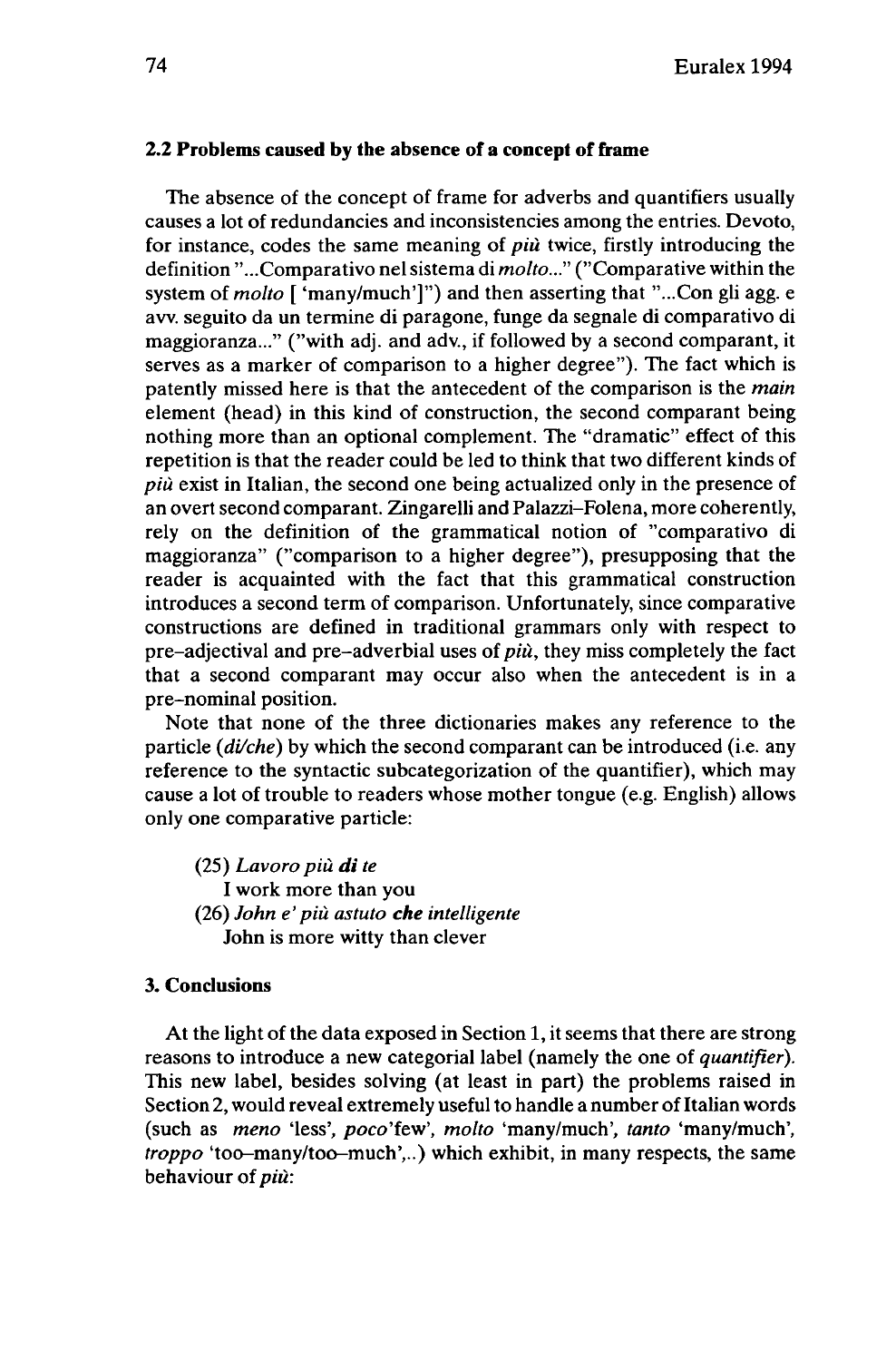#### **2.2 Problems caused by the absence of a concept of frame**

The absence of the concept of frame for adverbs and quantifiers usually causes a lot of redundancies and inconsistencies among the entries. Devoto, for instance, codes the same meaning of *più* twice, firstly introducing the definition "...Comparativo nel sistema di *molto..."* ("Comparative within the system of *molto* [ 'many/much']") and then asserting that "...Con gli agg. e aw. seguito da un termine di paragone, funge da segnale di comparativo di maggioranza..." ("with adj. and adv., if followed by a second comparant, it serves as a marker of comparison to a higher degree"). The fact which is patently missed here is that the antecedent of the comparison is the *main* element (head) in this kind of construction, the second comparant being nothing more than an optional complement. The "dramatic" effect of this repetition is that the reader could be led to think that two different kinds of *più* exist in Italian, the second one being actualized only in the presence of an overt second comparant. Zingarelli and Palazzi-Folena, more coherently, rely on the definition of the grammatical notion of "comparativo di maggioranza" ("comparison to a higher degree"), presupposing that the reader is acquainted with the fact that this grammatical construction introduces a second term of comparison. Unfortunately, since comparative constructions are defined in traditional grammars only with respect to pre-adjectival and pre-adverbial uses of *più,* they miss completely the fact that a second comparant may occur also when the antecedent is in a pre-nominal position.

Note that none of the three dictionaries makes any reference to the particle *(di/che)* by which the second comparant can be introduced (i.e. any reference to the syntactic subcategorization of the quantifier), which may cause a lot of trouble to readers whose mother tongue (e.g. English) allows only one comparative particle:

(25) *Lavoro più di te* I work more than you (26) *John e' più astuto che intelligente* John is more witty than clever

#### **3. Conclusions**

At the light of the data exposed in Section 1, it seems that there are strong reasons to introduce a new categorial label (namely the one of *quantifier).* This new label, besides solving (at least in part) the problems raised in Section 2, would reveal extremely useful to handle a number of Italian words (such as *meno* 'less', poco'few', *molto* 'many/much', *tanto* 'many/much', *troppo* 'too-many/too-much',..) which exhibit, in many respects, the same behaviour of *più:*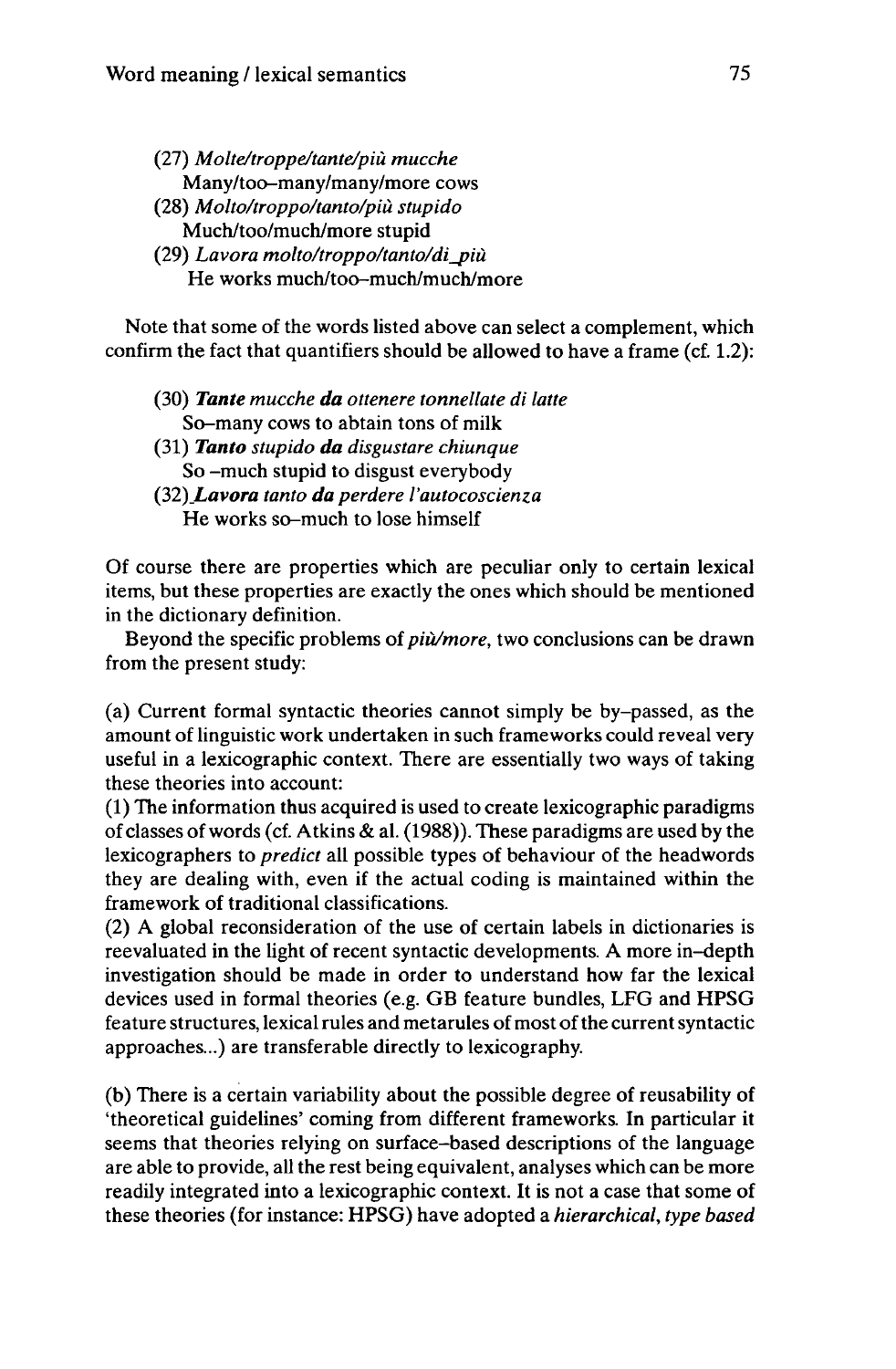- (27) *Molte/troppe/tante/più mucche* Many/too-many/many/more cows (28) *Molto/troppo/tanto/più stupido* Much/too/much/more stupid
- (29) *Lavora molto/troppo/tanto/di\_più* He works much/too-much/much/more

Note that some of the words listed above can select a complement, which confirm the fact that quantifiers should be allowed to have a frame (cf. 1.2):

- (30) *Tante mucche da ottenere tonnellate di latte* So-many cows to abtain tons of milk
- (31) *Tanto stupido da disgustare chiunque* So -much stupid to disgust everybody
- *(32)\_Lavora tanto da perdere I'autocoscienza* He works so-much to lose himself

Of course there are properties which are peculiar only to certain lexical items, but these properties are exactly the ones which should be mentioned in the dictionary definition.

Beyond the specific problems of*piu/more,* two conclusions can be drawn from the present study:

(a) Current formal syntactic theories cannot simply be by-passed, as the amount of linguistic work undertaken in such frameworks could reveal very useful in a lexicographic context. There are essentially two ways of taking these theories into account:

(1) The information thus acquired is used to create lexicographic paradigms of classes ofwords (cf. Atkins & al. (1988)). These paradigms are used by the lexicographers to *predict* all possible types of behaviour of the headwords they are dealing with, even if the actual coding is maintained within the framework of traditional classifications.

(2) A global reconsideration of the use of certain labels in dictionaries is reevaluated in the light of recent syntactic developments. A more in-depth investigation should be made in order to understand how far the lexical devices used in formal theories (e.g. GB feature bundles, LFG and HPSG feature structures, lexical rules and metarules of most of the current syntactic approaches...) are transferable directly to lexicography.

(b) There is a certain variability about the possible degree of reusability of 'theoretical guidelines' coming from different frameworks. In particular it seems that theories relying on surface-based descriptions of the language are able to provide, all the rest being equivalent, analyses which can be more readily integrated into a lexicographic context. It is not a case that some of these theories (for instance: HPSG) have adopted a *hierarchical, type based*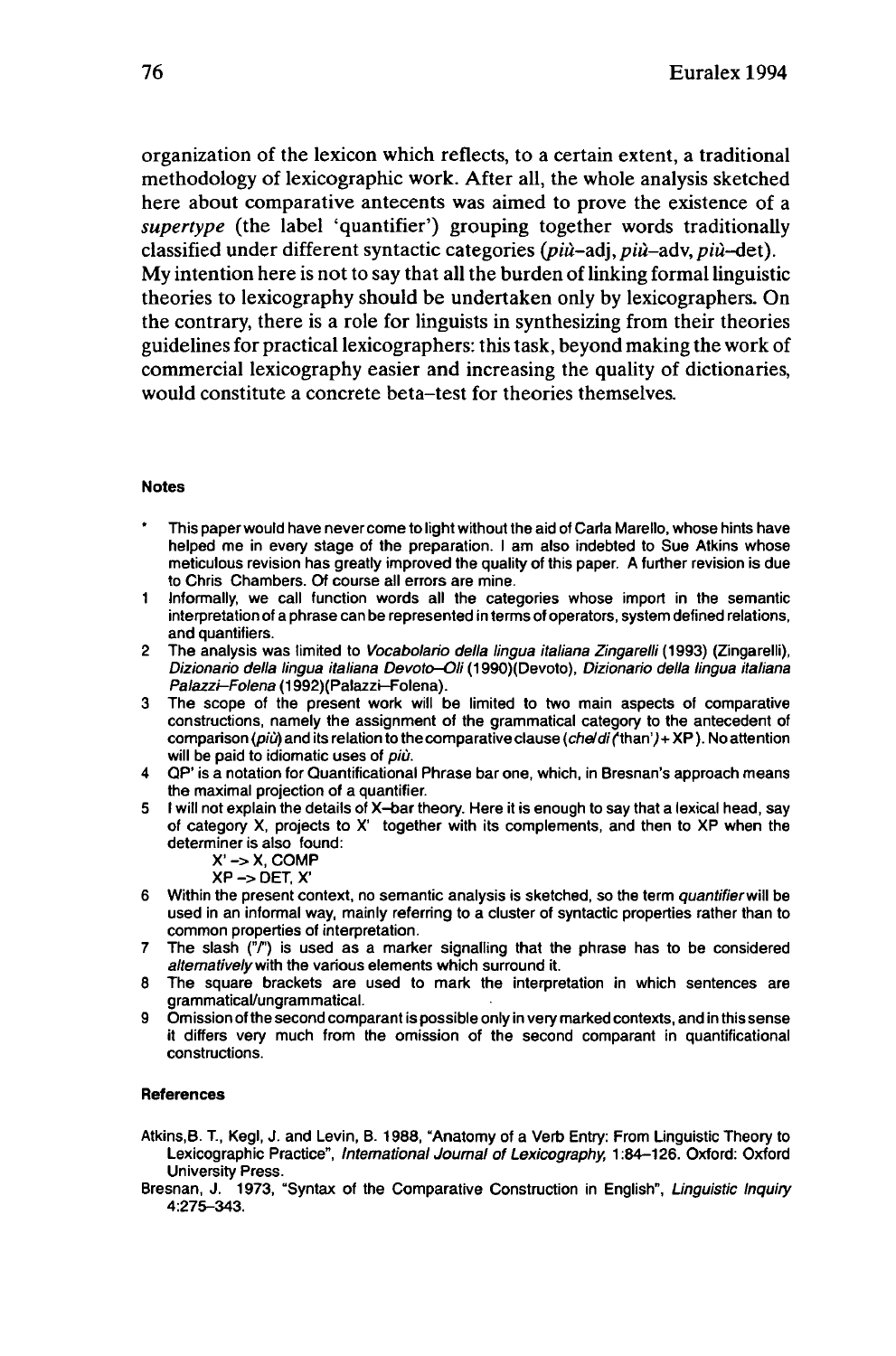organization of the lexicon which reflects, to a certain extent, a traditional methodology of lexicographic work. After all, the whole analysis sketched here about comparative antecents was aimed to prove the existence of a *supertype* (the label 'quantifier') grouping together words traditionally classified under different syntactic categories *(più-ad], più-adv,piu-det).*  $Mv$  intention here is not to say that all the burden of linking formal linguistic theories to lexicography should be undertaken only by lexicographers. On the contrary, there is a role for linguists in synthesizing from their theories guidelines for practical lexicographers: thistask, beyond making the work of commercial lexicography easier and increasing the quality of dictionaries, would constitute a concrete beta-test for theories themselves.

#### **Notes**

- This paper would have never come to light without the aid of Carla Marello, whose hints have helped me in every stage of the preparation. <sup>I</sup> am also indebted to Sue Atkins whose meticulous revision has greatly improved the quality of this paper. A further revision is due to Chris Chambers. Of course all errors are mine.
- <sup>1</sup> Informally, we call function words all the categories whose import in the semantic interpretation of a phrase can be represented in terms of operators, system defined relations, and quantifiers.
- 2 The analysis was limited to Vocabolario della lingua italiana Zingarelli (1993) (Zingarelli), Dizionario della lingua italiana Devoto-Oli (1990)(Devoto), Dizionario della lingua italiana Palazzi-Folena (1992) (Palazzi-Folena).
- 3 The scope of the present work will be limited to two main aspects of comparative constructions, namely the assignment of the grammatical category to the antecedent of comparison (più) and its relation to the comparative clause (che/di ('than') + XP). No attention will be paid to idiomatic uses of più.
- 4 QP' is a notation for Quantificational Phrase bar one, which, in Bresnan's approach means the maximal projection of a quantifier.
- 5 <sup>I</sup> will not explain the details of X-bar theory. Here it is enough to say that a lexical head, say of category X, projects to X' together with its complements, and then to XP when the determiner is also found:
	- X' -> X, COMP
	- XP -> DET, X'
- 6 Within the present context, no semantic analysis is sketched, so the term quantifier will be used in an informal way, mainly referring to a cluster of syntactic properties rather than to common properties of interpretation.
- 7 The slash  $\binom{n}{r}$  is used as a marker signalling that the phrase has to be considered alternatively with the various elements which surround it.
- 8 The square brackets are used to mark the interpretation in which sentences are grammatical/ungrammatical.
- 9 Omission of the second comparant is possible only in very marked contexts, and in this sense it differs very much from the omission of the second comparant in quantificational constructions.

#### **References**

- Atkins.B. T., Kegl, J. and Levin, B. 1988, "Anatomy of a Verb Entry: From Linguistic Theory to Lexicographic Practice", International journal of Lexicography, 1:84-126. Oxford: Oxford University Press.
- Bresnan, J. 1973, "Syntax of the Comparative Construction in English", Linguistic Inquiry 4:275-343.